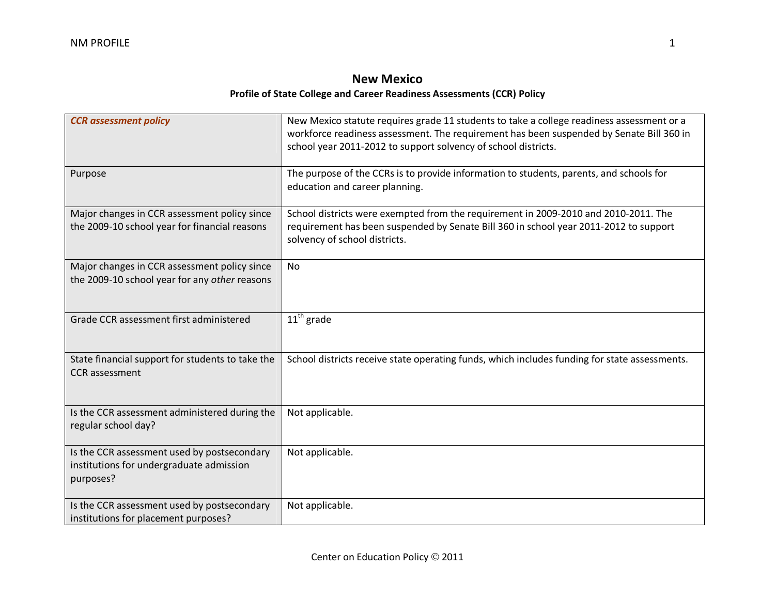## **New Mexico Profile of State College and Career Readiness Assessments (CCR) Policy**

| <b>CCR</b> assessment policy                                                                         | New Mexico statute requires grade 11 students to take a college readiness assessment or a<br>workforce readiness assessment. The requirement has been suspended by Senate Bill 360 in<br>school year 2011-2012 to support solvency of school districts. |
|------------------------------------------------------------------------------------------------------|---------------------------------------------------------------------------------------------------------------------------------------------------------------------------------------------------------------------------------------------------------|
| Purpose                                                                                              | The purpose of the CCRs is to provide information to students, parents, and schools for<br>education and career planning.                                                                                                                               |
| Major changes in CCR assessment policy since<br>the 2009-10 school year for financial reasons        | School districts were exempted from the requirement in 2009-2010 and 2010-2011. The<br>requirement has been suspended by Senate Bill 360 in school year 2011-2012 to support<br>solvency of school districts.                                           |
| Major changes in CCR assessment policy since<br>the 2009-10 school year for any other reasons        | <b>No</b>                                                                                                                                                                                                                                               |
| Grade CCR assessment first administered                                                              | $11th$ grade                                                                                                                                                                                                                                            |
| State financial support for students to take the<br><b>CCR</b> assessment                            | School districts receive state operating funds, which includes funding for state assessments.                                                                                                                                                           |
| Is the CCR assessment administered during the<br>regular school day?                                 | Not applicable.                                                                                                                                                                                                                                         |
| Is the CCR assessment used by postsecondary<br>institutions for undergraduate admission<br>purposes? | Not applicable.                                                                                                                                                                                                                                         |
| Is the CCR assessment used by postsecondary<br>institutions for placement purposes?                  | Not applicable.                                                                                                                                                                                                                                         |